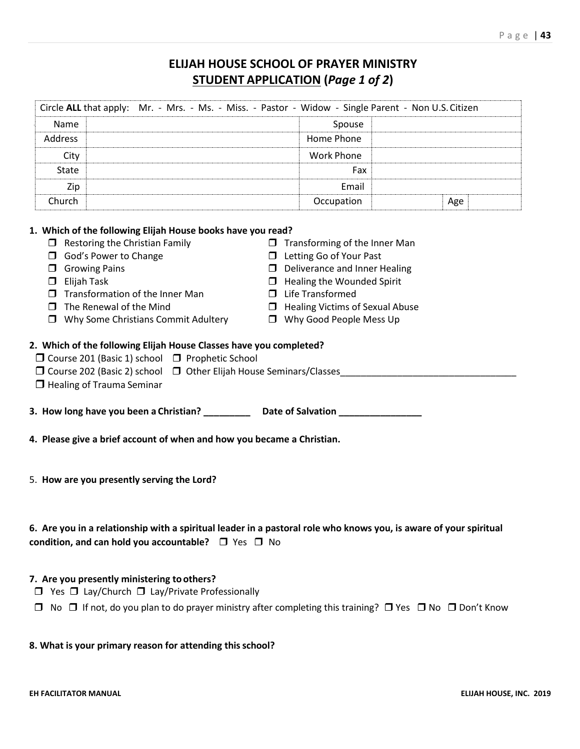## **ELIJAH HOUSE SCHOOL OF PRAYER MINISTRY STUDENT APPLICATION (***Page 1 of 2***)**

| Circle ALL that apply: Mr. - Mrs. - Ms. - Miss. - Pastor - Widow - Single Parent - Non U.S. Citizen                                                                                                                                                                                                                                                                                                                                                                                                                                        |                                                                                                                                                                                                                                                  |     |  |
|--------------------------------------------------------------------------------------------------------------------------------------------------------------------------------------------------------------------------------------------------------------------------------------------------------------------------------------------------------------------------------------------------------------------------------------------------------------------------------------------------------------------------------------------|--------------------------------------------------------------------------------------------------------------------------------------------------------------------------------------------------------------------------------------------------|-----|--|
| Name                                                                                                                                                                                                                                                                                                                                                                                                                                                                                                                                       | Spouse                                                                                                                                                                                                                                           |     |  |
| Address                                                                                                                                                                                                                                                                                                                                                                                                                                                                                                                                    | Home Phone                                                                                                                                                                                                                                       |     |  |
| City                                                                                                                                                                                                                                                                                                                                                                                                                                                                                                                                       | <b>Work Phone</b>                                                                                                                                                                                                                                |     |  |
| State                                                                                                                                                                                                                                                                                                                                                                                                                                                                                                                                      | Fax                                                                                                                                                                                                                                              |     |  |
| Zip                                                                                                                                                                                                                                                                                                                                                                                                                                                                                                                                        | Email                                                                                                                                                                                                                                            |     |  |
| Church                                                                                                                                                                                                                                                                                                                                                                                                                                                                                                                                     | Occupation                                                                                                                                                                                                                                       | Age |  |
| 1. Which of the following Elijah House books have you read?<br>$\Box$ Restoring the Christian Family<br>God's Power to Change<br>$\Box$ Growing Pains<br>$\Box$ Elijah Task<br>$\Box$ Transformation of the Inner Man<br>$\Box$ The Renewal of the Mind<br>$\Box$ Why Some Christians Commit Adultery<br>2. Which of the following Elijah House Classes have you completed?<br>□ Course 201 (Basic 1) school □ Prophetic School<br>□ Course 202 (Basic 2) school □ Other Elijah House Seminars/Classes<br>$\Box$ Healing of Trauma Seminar | $\Box$ Transforming of the Inner Man<br><b>I</b> Letting Go of Your Past<br>$\Box$ Deliverance and Inner Healing<br>$\Box$ Healing the Wounded Spirit<br>$\Box$ Life Transformed<br>Healing Victims of Sexual Abuse<br>□ Why Good People Mess Up |     |  |
| 3. How long have you been a Christian? ____________ Date of Salvation __________                                                                                                                                                                                                                                                                                                                                                                                                                                                           |                                                                                                                                                                                                                                                  |     |  |
| 4. Please give a brief account of when and how you became a Christian.                                                                                                                                                                                                                                                                                                                                                                                                                                                                     |                                                                                                                                                                                                                                                  |     |  |
| 5. How are you presently serving the Lord?                                                                                                                                                                                                                                                                                                                                                                                                                                                                                                 |                                                                                                                                                                                                                                                  |     |  |
| 6. Are you in a relationship with a spiritual leader in a pastoral role who knows you, is aware of your spiritual<br>condition, and can hold you accountable? $\Box$ Yes $\Box$ No                                                                                                                                                                                                                                                                                                                                                         |                                                                                                                                                                                                                                                  |     |  |
| 7. Are you presently ministering to others?<br>$\Box$ Yes $\Box$ Lay/Church $\Box$ Lay/Private Professionally                                                                                                                                                                                                                                                                                                                                                                                                                              |                                                                                                                                                                                                                                                  |     |  |
| $\Box$ No $\Box$ If not, do you plan to do prayer ministry after completing this training? $\Box$ Yes $\Box$ No $\Box$ Don't Know                                                                                                                                                                                                                                                                                                                                                                                                          |                                                                                                                                                                                                                                                  |     |  |

## **8. What is your primary reason for attending thisschool?**